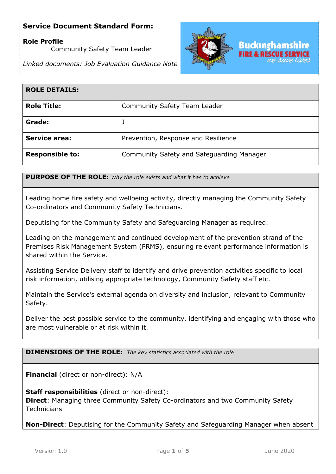## **Role Profile**

Community Safety Team Leader

*Linked documents: Job Evaluation Guidance Note*



| <b>ROLE DETAILS:</b>   |                                           |
|------------------------|-------------------------------------------|
| <b>Role Title:</b>     | <b>Community Safety Team Leader</b>       |
| Grade:                 |                                           |
| <b>Service area:</b>   | Prevention, Response and Resilience       |
| <b>Responsible to:</b> | Community Safety and Safeguarding Manager |

**PURPOSE OF THE ROLE:** *Why the role exists and what it has to achieve* 

Leading home fire safety and wellbeing activity, directly managing the Community Safety Co-ordinators and Community Safety Technicians.

Deputising for the Community Safety and Safeguarding Manager as required.

Leading on the management and continued development of the prevention strand of the Premises Risk Management System (PRMS), ensuring relevant performance information is shared within the Service.

Assisting Service Delivery staff to identify and drive prevention activities specific to local risk information, utilising appropriate technology, Community Safety staff etc.

Maintain the Service's external agenda on diversity and inclusion, relevant to Community Safety.

Deliver the best possible service to the community, identifying and engaging with those who are most vulnerable or at risk within it.

**DIMENSIONS OF THE ROLE:** *The key statistics associated with the role*

**Financial** (direct or non-direct): N/A

**Staff responsibilities** (direct or non-direct): **Direct**: Managing three Community Safety Co-ordinators and two Community Safety **Technicians** 

**Non-Direct**: Deputising for the Community Safety and Safeguarding Manager when absent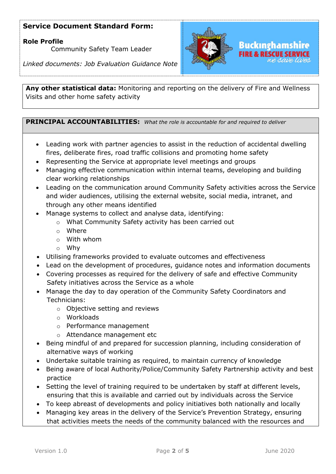## **Role Profile**

Community Safety Team Leader

*Linked documents: Job Evaluation Guidance Note*



**Any other statistical data:** Monitoring and reporting on the delivery of Fire and Wellness Visits and other home safety activity

### **PRINCIPAL ACCOUNTABILITIES:** *What the role is accountable for and required to deliver*

- Leading work with partner agencies to assist in the reduction of accidental dwelling fires, deliberate fires, road traffic collisions and promoting home safety
- Representing the Service at appropriate level meetings and groups
- Managing effective communication within internal teams, developing and building clear working relationships
- Leading on the communication around Community Safety activities across the Service and wider audiences, utilising the external website, social media, intranet, and through any other means identified
- Manage systems to collect and analyse data, identifying:
	- o What Community Safety activity has been carried out
	- o Where
	- o With whom
	- o Why
- Utilising frameworks provided to evaluate outcomes and effectiveness
- Lead on the development of procedures, guidance notes and information documents
- Covering processes as required for the delivery of safe and effective Community Safety initiatives across the Service as a whole
- Manage the day to day operation of the Community Safety Coordinators and Technicians:
	- o Objective setting and reviews
	- o Workloads
	- o Performance management
	- o Attendance management etc
- Being mindful of and prepared for succession planning, including consideration of alternative ways of working
- Undertake suitable training as required, to maintain currency of knowledge
- Being aware of local Authority/Police/Community Safety Partnership activity and best practice
- Setting the level of training required to be undertaken by staff at different levels, ensuring that this is available and carried out by individuals across the Service
- To keep abreast of developments and policy initiatives both nationally and locally
- Managing key areas in the delivery of the Service's Prevention Strategy, ensuring that activities meets the needs of the community balanced with the resources and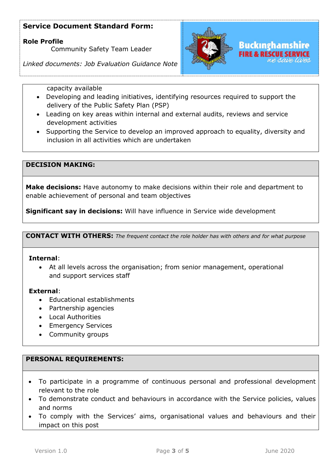**Role Profile** 

Community Safety Team Leader

*Linked documents: Job Evaluation Guidance Note*



capacity available

- Developing and leading initiatives, identifying resources required to support the delivery of the Public Safety Plan (PSP)
- Leading on key areas within internal and external audits, reviews and service development activities
- Supporting the Service to develop an improved approach to equality, diversity and inclusion in all activities which are undertaken

## **DECISION MAKING:**

**Make decisions:** Have autonomy to make decisions within their role and department to enable achievement of personal and team objectives

**Significant say in decisions:** Will have influence in Service wide development

**CONTACT WITH OTHERS:** *The frequent contact the role holder has with others and for what purpose* 

#### **Internal**:

• At all levels across the organisation; from senior management, operational and support services staff

### **External**:

- Educational establishments
- Partnership agencies
- Local Authorities
- Emergency Services
- Community groups

## **PERSONAL REQUIREMENTS:**

- To participate in a programme of continuous personal and professional development relevant to the role
- To demonstrate conduct and behaviours in accordance with the Service policies, values and norms
- To comply with the Services' aims, organisational values and behaviours and their impact on this post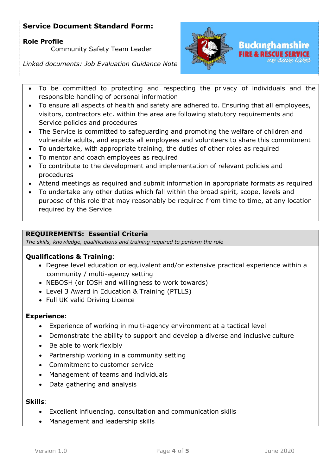## **Role Profile**

Community Safety Team Leader

*Linked documents: Job Evaluation Guidance Note*



# Buckınghamshire

- To be committed to protecting and respecting the privacy of individuals and the responsible handling of personal information
- To ensure all aspects of health and safety are adhered to. Ensuring that all employees, visitors, contractors etc. within the area are following statutory requirements and Service policies and procedures
- The Service is committed to safeguarding and promoting the welfare of children and vulnerable adults, and expects all employees and volunteers to share this commitment
- To undertake, with appropriate training, the duties of other roles as required
- To mentor and coach employees as required
- To contribute to the development and implementation of relevant policies and procedures
- Attend meetings as required and submit information in appropriate formats as required
- To undertake any other duties which fall within the broad spirit, scope, levels and purpose of this role that may reasonably be required from time to time, at any location required by the Service

### **REQUIREMENTS: Essential Criteria**

*The skills, knowledge, qualifications and training required to perform the role*

## **Qualifications & Training**:

- Degree level education or equivalent and/or extensive practical experience within a community / multi-agency setting
- NEBOSH (or IOSH and willingness to work towards)
- Level 3 Award in Education & Training (PTLLS)
- Full UK valid Driving Licence

### **Experience**:

- Experience of working in multi-agency environment at a tactical level
- Demonstrate the ability to support and develop a diverse and inclusive culture
- Be able to work flexibly
- Partnership working in a community setting
- Commitment to customer service
- Management of teams and individuals
- Data gathering and analysis

### **Skills**:

- Excellent influencing, consultation and communication skills
- Management and leadership skills